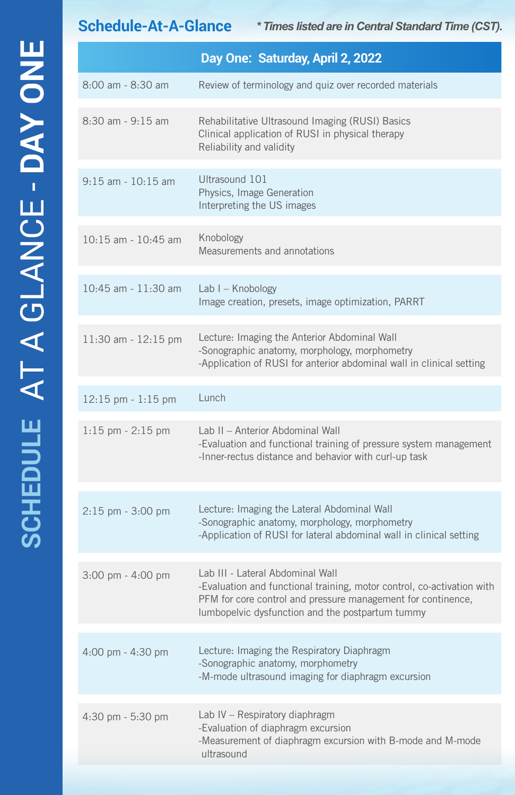**Schedule-At-A-Glance** *\* Times listed are in Central Standard Time (CST).*

|                        | Day One: Saturday, April 2, 2022                                                                                                                                                                                               |
|------------------------|--------------------------------------------------------------------------------------------------------------------------------------------------------------------------------------------------------------------------------|
| 8:00 am - 8:30 am      | Review of terminology and quiz over recorded materials                                                                                                                                                                         |
| 8:30 am - 9:15 am      | Rehabilitative Ultrasound Imaging (RUSI) Basics<br>Clinical application of RUSI in physical therapy<br>Reliability and validity                                                                                                |
| $9:15$ am - $10:15$ am | Ultrasound 101<br>Physics, Image Generation<br>Interpreting the US images                                                                                                                                                      |
| 10:15 am - 10:45 am    | Knobology<br>Measurements and annotations                                                                                                                                                                                      |
| 10:45 am - 11:30 am    | Lab $I -$ Knobology<br>Image creation, presets, image optimization, PARRT                                                                                                                                                      |
| 11:30 am - 12:15 pm    | Lecture: Imaging the Anterior Abdominal Wall<br>-Sonographic anatomy, morphology, morphometry<br>-Application of RUSI for anterior abdominal wall in clinical setting                                                          |
| $12:15$ pm - $1:15$ pm | Lunch                                                                                                                                                                                                                          |
| 1:15 pm - 2:15 pm      | Lab II - Anterior Abdominal Wall<br>-Evaluation and functional training of pressure system management<br>-Inner-rectus distance and behavior with curl-up task                                                                 |
| $2:15$ pm - $3:00$ pm  | Lecture: Imaging the Lateral Abdominal Wall<br>-Sonographic anatomy, morphology, morphometry<br>-Application of RUSI for lateral abdominal wall in clinical setting                                                            |
| 3:00 pm - 4:00 pm      | Lab III - Lateral Abdominal Wall<br>-Evaluation and functional training, motor control, co-activation with<br>PFM for core control and pressure management for continence,<br>lumbopelvic dysfunction and the postpartum tummy |
| 4:00 pm - 4:30 pm      | Lecture: Imaging the Respiratory Diaphragm<br>-Sonographic anatomy, morphometry<br>-M-mode ultrasound imaging for diaphragm excursion                                                                                          |
| $4:30$ pm $-5:30$ pm   | Lab IV - Respiratory diaphragm<br>-Evaluation of diaphragm excursion<br>-Measurement of diaphragm excursion with B-mode and M-mode<br>ultrasound                                                                               |